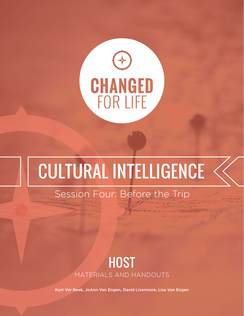

# Cultural Intelligence

### Session Four: Before the Trip

### **HOST** materials and Handouts

Kurt Ver Beek, JoAnn Van Engen, David Livermore, Lisa Van Engen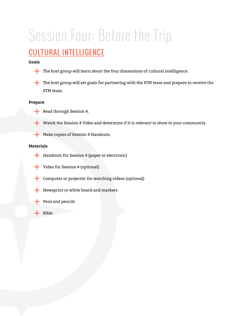## Session Four: Before the Trip

### Cultural Intelligence

#### **Goals**

- The host group will learn about the four dimensions of cultural intelligence.
- The host group will set goals for partnering with the STM team and prepare to receive the STM team.

#### **Prepare**

- Read through Session 4.
- Watch the Session 4 Video and determine if it is relevant to show to your community.
- Make copies of Session 4 Handouts.

#### **Materials**

- Handouts for Session 4 (paper or electronic)
- Video for Session 4 (optional)
- Computer or projector for watching videos (optional)
- Newsprint or white board and markers
- Pens and pencils
- Bible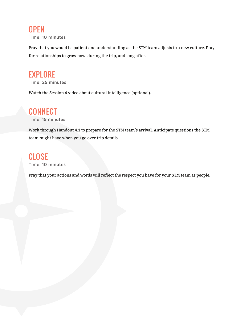#### **OPEN** Time: 10 minutes

Pray that you would be patient and understanding as the STM team adjusts to a new culture. Pray for relationships to grow now, during the trip, and long after.

### **EXPLORE**

Time: 25 minutes

Watch the Session 4 video about cultural intelligence (optional).

### **CONNECT**

Time: 15 minutes

Work through Handout 4.1 to prepare for the STM team's arrival. Anticipate questions the STM team might have when you go over trip details.

### **CLOSE**

Time: 10 minutes

Pray that your actions and words will reflect the respect you have for your STM team as people.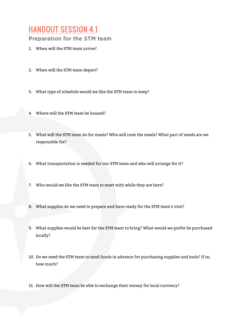### Handout Session 4.1

Preparation for the STM team

- 1. When will the STM team arrive?
- 2. When will the STM team depart?
- 3. What type of schedule would we like the STM team to keep?
- 4. Where will the STM team be housed?
- 5. What will the STM team do for meals? Who will cook the meals? What part of meals are we responsible for?
- 6. What transportation is needed for our STM team and who will arrange for it?
- 7. Who would we like the STM team to meet with while they are here?
- 8. What supplies do we need to prepare and have ready for the STM team's visit?
- 9. What supplies would be best for the STM team to bring? What would we prefer be purchased locally?
- 10. Do we need the STM team to send funds in advance for purchasing supplies and tools? If so, how much?
- 11. How will the STM team be able to exchange their money for local currency?